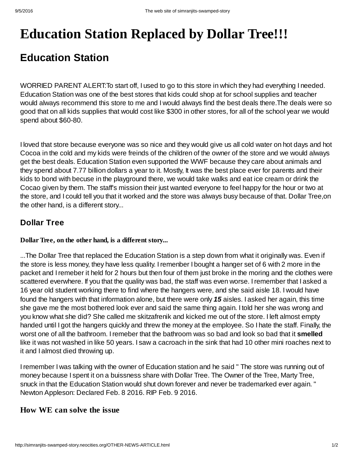# **Education Station Replaced by Dollar Tree!!!**

# **Education Station**

WORRIED PARENT ALERT:To start off, I used to go to this store in which they had everything I needed. Education Station was one of the best stores that kids could shop at for school supplies and teacher would always recommend this store to me and I would always find the best deals there.The deals were so good that on all kids supplies that would cost like \$300 in other stores, for all of the school year we would spend about \$60-80.

I loved that store because everyone was so nice and they would give us all cold water on hot days and hot Cocoa in the cold and my kids were freinds of the children of the owner of the store and we would always get the best deals. Education Station even supported the WWF because they care about animals and they spend about 7.77 billion dollars a year to it. Mostly, It was the best place ever for parents and their kids to bond with becuse in the playground there, we would take walks and eat ice cream or drink the Cocao given by them. The staff's mission their just wanted everyone to feel happy for the hour or two at the store, and I could tell you that it worked and the store was always busy because of that. Dollar Tree,on the other hand, is a different story...

## **Dollar Tree**

### **Dollar Tree, on the other hand, is a different story...**

...The Dollar Tree that replaced the Education Station is a step down from what it originally was. Even if the store is less money, they have less quality. Iremenber I bought a hanger set of 6 with 2 more in the packet and Iremeber it held for 2 hours but then four of them just broke in the moring and the clothes were scattered everwhere. If you that the quality was bad, the staff was even worse. Iremember that I asked a 16 year old student working there to find where the hangers were, and she said aisle 18. I would have found the hangers with that information alone, but there were only *15* aisles. I asked her again, this time she gave me the most bothered look ever and said the same thing again. I told her she was wrong and you know what she did? She called me skitzafrenik and kicked me out of the store. I left almost empty handed until I got the hangers quickly and threw the money at the employee. So I hate the staff. Finally, the worst one of all the bathroom. Iremeber that the bathroom was so bad and look so bad that it **smelled** like it was not washed in like 50 years. I saw a cacroach in the sink that had 10 other mini roaches next to it and I almost died throwing up.

Iremember I was talking with the owner of Education station and he said " The store was running out of money because I spent it on a buissness share with Dollar Tree. The Owner of the Tree, Marty Tree, snuck in that the Education Station would shut down forever and never be trademarked ever again. " Newton Appleson: Declared Feb. 8 2016. RIP Feb. 9 2016.

### **How WE can solve the issue**